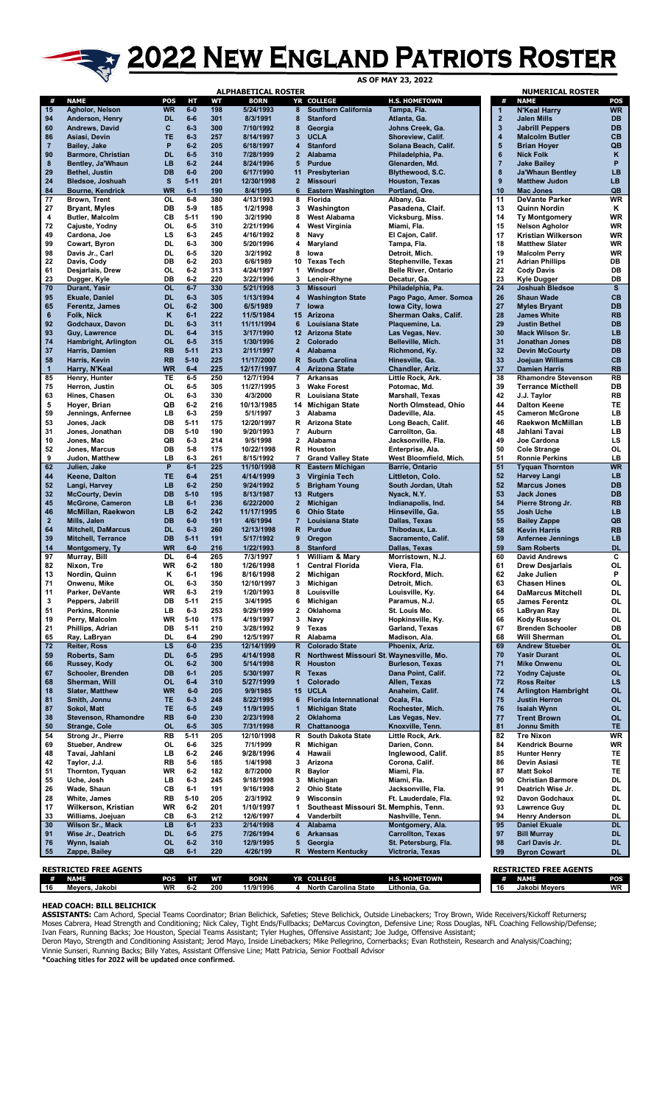## 2022 NEW ENGLAND PATRIOTS ROSTER

|                    | ALPHABETICAL ROSTER                        |                        |                    |            |                         |                         |                                                 |                                             | <b>NUMERICAL ROSTER</b>      |                                                    |                        |
|--------------------|--------------------------------------------|------------------------|--------------------|------------|-------------------------|-------------------------|-------------------------------------------------|---------------------------------------------|------------------------------|----------------------------------------------------|------------------------|
| #                  | <b>NAME</b>                                | POS                    | HТ                 | WТ         | <b>BORN</b>             |                         | YR COLLEGE                                      | <b>H.S. HOMETOWN</b>                        | #                            | <b>NAME</b>                                        | POS                    |
| 15<br>94           | Agholor, Nelson<br>Anderson, Henry         | <b>WR</b><br><b>DL</b> | $6-0$<br>$6-6$     | 198<br>301 | 5/24/1993<br>8/3/1991   | 8<br>8                  | <b>Southern California</b><br><b>Stanford</b>   | Tampa, Fla.<br>Atlanta, Ga.                 | 1<br>$\overline{\mathbf{2}}$ | <b>N'Keal Harry</b><br><b>Jalen Mills</b>          | <b>WR</b><br><b>DB</b> |
| 60                 | Andrews, David                             | c                      | $6-3$              | 300        | 7/10/1992               | 8                       | Georgia                                         | Johns Creek, Ga.                            | 3                            | <b>Jabrill Peppers</b>                             | <b>DB</b>              |
| 86                 | Asiasi, Devin                              | <b>TE</b>              | $6 - 3$            | 257        | 8/14/1997               | 3                       | <b>UCLA</b>                                     | Shoreview, Calif.                           | 4                            | <b>Malcolm Butler</b>                              | <b>CB</b>              |
| $\overline{7}$     | Bailey, Jake                               | P                      | $6-2$              | 205        | 6/18/1997               | 4                       | <b>Stanford</b>                                 | Solana Beach, Calif.                        | 5                            | <b>Brian Hoyer</b>                                 | QB                     |
| 90                 | <b>Barmore, Christian</b>                  | <b>DL</b>              | $6-5$              | 310        | 7/28/1999               | $\overline{2}$          | <b>Alabama</b>                                  | Philadelphia, Pa.                           | $6\phantom{a}$               | <b>Nick Folk</b>                                   | K                      |
| 8<br>29            | Bentley, Ja'Whaun<br><b>Bethel, Justin</b> | LB<br>DB               | $6-2$<br>$6-0$     | 244<br>200 | 8/24/1996<br>6/17/1990  | 5<br>11                 | <b>Purdue</b><br>Presbyterian                   | Glenarden, Md.<br>Blythewood, S.C.          | $\overline{7}$<br>8          | <b>Jake Bailey</b><br><b>Ja'Whaun Bentley</b>      | P<br><b>LB</b>         |
| 24                 | Bledsoe, Joshuah                           | s                      | $5 - 11$           | 201        | 12/30/1998              | $\mathbf{2}$            | <b>Missouri</b>                                 | <b>Houston, Texas</b>                       | $\boldsymbol{9}$             | <b>Matthew Judon</b>                               | LB.                    |
| 84                 | <b>Bourne, Kendrick</b>                    | <b>WR</b>              | $6-1$              | 190        | 8/4/1995                | 6                       | <b>Eastern Washington</b>                       | Portland, Ore.                              | 10                           | <b>Mac Jones</b>                                   | QB                     |
| 77                 | Brown, Trent                               | OL                     | $6-8$              | 380        | 4/13/1993               | 8                       | Florida                                         | Albany, Ga.                                 | 11                           | <b>DeVante Parker</b>                              | <b>WR</b>              |
| 27                 | <b>Bryant, Myles</b>                       | DB                     | $5-9$              | 185        | 1/2/1998                | 3                       | Washington                                      | Pasadena, Claif.                            | 13                           | Quinn Nordin                                       | Κ                      |
| 4<br>72            | <b>Butler, Malcolm</b><br>Cajuste, Yodny   | CВ<br>OL               | $5 - 11$<br>$6-5$  | 190<br>310 | 3/2/1990<br>2/21/1996   | 8<br>4                  | <b>West Alabama</b><br><b>West Virginia</b>     | Vicksburg, Miss.<br>Miami, Fla.             | 14<br>15                     | <b>Ty Montgomery</b><br><b>Nelson Agholor</b>      | WR<br>WR               |
| 49                 | Cardona, Joe                               | LS                     | $6-3$              | 245        | 4/16/1992               | 8                       | Navy                                            | El Cajon, Calif.                            | 17                           | <b>Kristian Wilkerson</b>                          | WR                     |
| 99                 | Cowart, Byron                              | DL                     | $6-3$              | 300        | 5/20/1996               | 4                       | Maryland                                        | Tampa, Fla.                                 | 18                           | <b>Matthew Slater</b>                              | WR                     |
| 98                 | Davis Jr., Carl                            | DL                     | $6-5$              | 320        | 3/2/1992                | 8                       | lowa                                            | Detroit, Mich.                              | 19                           | <b>Malcolm Perry</b>                               | WR                     |
| 22                 | Davis, Cody                                | DB                     | $6 - 2$            | 203        | 6/6/1989                | 10                      | <b>Texas Tech</b>                               | Stephenville, Texas                         | 21                           | <b>Adrian Phillips</b>                             | DB                     |
| 61<br>23           | Desjarlais, Drew<br>Dugger, Kyle           | OL<br>DB               | $6-2$<br>$6-2$     | 313<br>220 | 4/24/1997<br>3/22/1996  | 1<br>3                  | Windsor<br>Lenoir-Rhyne                         | <b>Belle River, Ontario</b><br>Decatur, Ga. | 22<br>23                     | <b>Cody Davis</b><br>Kyle Dugger                   | DB<br>DB               |
| 70                 | Durant, Yasir                              | <b>OL</b>              | $6 - 7$            | 330        | 5/21/1998               | 3                       | <b>Missouri</b>                                 | Philadelphia, Pa.                           | 24                           | <b>Joshuah Bledsoe</b>                             | s                      |
| 95                 | <b>Ekuale, Daniel</b>                      | <b>DL</b>              | $6 - 3$            | 305        | 1/13/1994               | 4                       | <b>Washington State</b>                         | Pago Pago, Amer. Somoa                      | 26                           | <b>Shaun Wade</b>                                  | <b>CB</b>              |
| 65                 | Ferentz, James                             | OL                     | $6-2$              | 300        | 6/5/1989                | $\overline{7}$          | lowa                                            | Iowa City, Iowa                             | 27                           | <b>Myles Bryant</b>                                | <b>DB</b>              |
| 6                  | <b>Folk, Nick</b>                          | κ                      | $6-1$              | 222        | 11/5/1984               |                         | 15 Arizona                                      | Sherman Oaks, Calif.                        | 28                           | <b>James White</b>                                 | <b>RB</b>              |
| 92                 | Godchaux, Davon                            | <b>DL</b>              | $6 - 3$            | 311        | 11/11/1994              | 6                       | Louisiana State                                 | Plaquemine, La.                             | 29                           | <b>Justin Bethel</b>                               | <b>DB</b>              |
| 93<br>74           | Guy, Lawrence<br>Hambright, Arlington      | <b>DL</b><br><b>OL</b> | $6-4$<br>$6-5$     | 315<br>315 | 3/17/1990<br>1/30/1996  | $\mathbf{2}$            | 12 Arizona State<br>Colorado                    | Las Vegas, Nev.<br>Belleville, Mich.        | 30<br>31                     | Mack Wilson Sr.<br>Jonathan Jones                  | LB.<br><b>DB</b>       |
| 37                 | Harris, Damien                             | <b>RB</b>              | $5 - 11$           | 213        | 2/11/1997               | 4                       | Alabama                                         | Richmond, Ky.                               | 32                           | <b>Devin McCourty</b>                              | <b>DB</b>              |
| 58                 | Harris, Kevin                              | <b>RB</b>              | $5 - 10$           | 225        | 11/17/2000              | R.                      | <b>South Carolina</b>                           | Hinesville, Ga.                             | 33                           | Joejuan Williams                                   | <b>CB</b>              |
| $\mathbf{1}$       | Harry, N'Keal                              | <b>WR</b>              | $6-4$              | 225        | 12/17/1997              | 4                       | <b>Arizona State</b>                            | Chandler, Ariz.                             | 37                           | <b>Damien Harris</b>                               | <b>RB</b>              |
| 85                 | Henry, Hunter                              | TE                     | $6-5$              | 250        | 12/7/1994               | 7                       | <b>Arkansas</b>                                 | Little Rock, Ark.                           | 38                           | <b>Rhamondre Stevenson</b>                         | <b>RB</b>              |
| 75                 | Herron, Justin                             | OL                     | $6-5$              | 305        | 11/27/1995              | 3                       | <b>Wake Forest</b>                              | Potomac, Md.                                | 39                           | <b>Terrance Micthell</b>                           | DB                     |
| 63<br>5            | Hines, Chasen<br>Hoyer, Brian              | OL<br>QB               | $6-3$<br>$6-2$     | 330<br>216 | 4/3/2000<br>10/13/1985  | 14                      | R Louisiana State                               | Marshall, Texas<br>North Olmstead, Ohio     | 42<br>44                     | J.J. Taylor<br><b>Dalton Keene</b>                 | <b>RB</b><br>TE        |
| 59                 | Jennings, Anfernee                         | LB                     | $6-3$              | 259        | 5/1/1997                | 3                       | Michigan State<br>Alabama                       | Dadeville, Ala.                             | 45                           | <b>Cameron McGrone</b>                             | LB                     |
| 53                 | Jones, Jack                                | DB                     | $5 - 11$           | 175        | 12/20/1997              | R                       | <b>Arizona State</b>                            | Long Beach, Calif.                          | 46                           | <b>Raekwon McMillan</b>                            | LB                     |
| 31                 | Jones, Jonathan                            | DB                     | $5 - 10$           | 190        | 9/20/1993               | 7                       | Auburn                                          | Carrollton, Ga.                             | 48                           | Jahlani Tavai                                      | LB                     |
| 10                 | Jones, Mac                                 | QB                     | $6-3$              | 214        | 9/5/1998                | $\mathbf{2}$            | Alabama                                         | Jacksonville, Fla.                          | 49                           | Joe Cardona                                        | LS                     |
| 52                 | Jones, Marcus                              | DB                     | $5-8$              | 175        | 10/22/1998              | R                       | Houston                                         | Enterprise, Ala.                            | 50                           | <b>Cole Strange</b>                                | OL                     |
| 9<br>62            | Judon, Matthew<br>Julien, Jake             | LB<br>P                | $6 - 3$<br>$6-1$   | 261<br>225 | 8/15/1992<br>11/10/1998 | 7                       | <b>Grand Valley State</b><br>R Eastern Michigan | West Bloomfield, Mich.<br>Barrie, Ontario   | 51<br>51                     | <b>Ronnie Perkins</b><br><b>Tyquan Thornton</b>    | LB<br><b>WR</b>        |
| 44                 | Keene, Dalton                              | TE                     | $6-4$              | 251        | 4/14/1999               | 3                       | Virginia Tech                                   | Littleton, Colo.                            | 52                           | <b>Harvey Langi</b>                                | LB.                    |
| 52                 | Langi, Harvey                              | <b>LB</b>              | $6 - 2$            | 250        | 9/24/1992               | 5                       | <b>Brigham Young</b>                            | South Jordan, Utah                          | 52                           | <b>Marcus Jones</b>                                | <b>DB</b>              |
| 32                 | <b>McCourty, Devin</b>                     | DB                     | $5 - 10$           | 195        | 8/13/1987               |                         | 13 Rutgers                                      | Nyack, N.Y.                                 | 53                           | <b>Jack Jones</b>                                  | <b>DB</b>              |
| 45                 | <b>McGrone, Cameron</b>                    | <b>LB</b>              | $6-1$              | 236        | 6/22/2000               | $\overline{\mathbf{2}}$ | Michigan                                        | Indianapolis, Ind.                          | 54                           | Pierre Strong Jr.                                  | <b>RB</b>              |
| 46                 | <b>McMillan, Raekwon</b>                   | LB                     | $6 - 2$            | 242        | 11/17/1995              | 6                       | <b>Ohio State</b>                               | Hinseville, Ga.                             | 55                           | Josh Uche                                          | LB.                    |
| $\mathbf{2}$<br>64 | Mills, Jalen<br><b>Mitchell, DaMarcus</b>  | DB<br><b>DL</b>        | $6-0$<br>$6 - 3$   | 191<br>260 | 4/6/1994<br>12/13/1998  | $\overline{7}$<br>R     | <b>Louisiana State</b><br><b>Purdue</b>         | Dallas, Texas<br>Thibodaux, La.             | 55<br>58                     | <b>Bailey Zappe</b><br><b>Kevin Harris</b>         | QB<br><b>RB</b>        |
| 39                 | Mitchell, Terrance                         | DB                     | $5 - 11$           | 191        | 5/17/1992               | 9                       | Oregon                                          | Sacramento, Calif.                          | 59                           | <b>Anfernee Jennings</b>                           | <b>LB</b>              |
| 14                 | <b>Montgomery, Ty</b>                      | <b>WR</b>              | $6-0$              | 216        | 1/22/1993               | 8                       | <b>Stanford</b>                                 | Dallas, Texas                               | 59                           | <b>Sam Roberts</b>                                 | <b>DL</b>              |
| 97                 | Murray, Bill                               | DL                     | $6-4$              | 265        | 7/3/1997                | 1                       | William & Mary                                  | Morristown, N.J.                            | 60                           | <b>David Andrews</b>                               | С                      |
| 82                 | Nixon, Tre                                 | <b>WR</b>              | $6-2$              | 180        | 1/26/1998               | 1.                      | <b>Central Florida</b>                          | Viera, Fla.                                 | 61                           | <b>Drew Desjarlais</b>                             | <b>OL</b>              |
| 13<br>71           | Nordin, Quinn<br>Onwenu, Mike              | Κ<br>OL                | $6 - 1$<br>$6 - 3$ | 196<br>350 | 8/16/1998<br>12/10/1997 | 3                       | 2 Michigan<br>Michigan                          | Rockford, Mich.<br>Detroit, Mich.           | 62<br>63                     | Jake Julien                                        | P<br>OL                |
| 11                 | Parker, DeVante                            | WR                     | $6 - 3$            | 219        | 1/20/1993               | 8                       | Louisville                                      | Louisville, Ky.                             | 64                           | <b>Chasen Hines</b><br><b>DaMarcus Mitchell</b>    | DL                     |
| 3                  | Peppers, Jabrill                           | DB                     | $5 - 11$           | 215        | 3/4/1995                | 6                       | Michigan                                        | Paramus, N.J.                               | 65                           | <b>James Ferentz</b>                               | OL                     |
| 51                 | Perkins, Ronnie                            | LB                     | $6 - 3$            | 253        | 9/29/1999               | 2                       | Oklahoma                                        | St. Louis Mo.                               | 65                           | LaBryan Ray                                        | DL                     |
| 19                 | Perry, Malcolm                             | WR                     | $5-10$             | 175        | 4/19/1997               | 3                       | Navy                                            | Hopkinsville, Ky.                           | 66                           | <b>Kody Russey</b>                                 | OL                     |
| 21<br>65           | Phillips, Adrian<br>Ray, LaBryan           | DB<br>DL               | $5 - 11$<br>$6-4$  | 210<br>290 | 3/28/1992<br>12/5/1997  | 9<br>R                  | Texas<br>Alabama                                | Garland, Texas<br>Madison, Ala.             | 67<br>68                     | <b>Brenden Schooler</b><br><b>Will Sherman</b>     | DB<br>OL               |
| 72                 | <b>Reiter, Ross</b>                        | LS                     | $6-0$              | 235        | 12/14/1999              | R                       | <b>Colorado State</b>                           | Phoenix, Ariz.                              | 69                           | <b>Andrew Stueber</b>                              | <b>OL</b>              |
| 59                 | Roberts, Sam                               | DL                     | $6-5$              | 295        | 4/14/1998               | R.                      | Northwest Missouri St. Waynesville, Mo.         |                                             | 70                           | <b>Yasir Durant</b>                                | <b>OL</b>              |
| 66                 | Russey, Kody                               | OL                     | $6 - 2$            | 300        | 5/14/1998               | R                       | <b>Houston</b>                                  | <b>Burleson, Texas</b>                      | 71                           | <b>Mike Onwenu</b>                                 | <b>OL</b>              |
| 67                 | Schooler, Brenden                          | DB                     | $6 - 1$            | 205        | 5/30/1997               | R                       | <b>Texas</b>                                    | Dana Point, Calif.                          | 72                           | <b>Yodny Cajuste</b>                               | <b>OL</b>              |
| 68                 | Sherman, Will                              | OL                     | $6-4$              | 310        | 5/27/1999               | 1                       | Colorado                                        | Allen, Texas                                | 72                           | <b>Ross Reiter</b>                                 | LS.                    |
| 18<br>81           | <b>Slater, Matthew</b><br>Smith, Jonnu     | <b>WR</b><br>TE        | $6-0$<br>$6 - 3$   | 205<br>248 | 9/9/1985<br>8/22/1995   | 6                       | 15 UCLA<br><b>Florida Internnational</b>        | Anaheim, Calif.<br>Ocala, Fla.              | 74<br>75                     | <b>Arlington Hambright</b><br><b>Justin Herron</b> | <b>OL</b><br><b>OL</b> |
| 87                 | Sokol, Matt                                | TE                     | $6 - 5$            | 249        | 11/9/1995               | 1                       | <b>Michigan State</b>                           | Rochester, Mich.                            | 76                           | <b>Isaiah Wynn</b>                                 | <b>OL</b>              |
| 38                 | <b>Stevenson, Rhamondre</b>                | <b>RB</b>              | $6-0$              | 230        | 2/23/1998               | $\mathbf{2}$            | Oklahoma                                        | Las Vegas, Nev.                             | 77                           | <b>Trent Brown</b>                                 | <b>OL</b>              |
| 50                 | <b>Strange, Cole</b>                       | <b>OL</b>              | $6 - 5$            | 305        | 7/31/1998               | R                       | Chattanooga                                     | Knoxville, Tenn.                            | 81                           | Jonnu Smith                                        | TE.                    |
| 54                 | Strong Jr., Pierre                         | RB                     | $5 - 11$           | 205        | 12/10/1998              | R                       | <b>South Dakota State</b>                       | Little Rock, Ark.                           | 82                           | <b>Tre Nixon</b>                                   | WR                     |
| 69                 | Stueber, Andrew                            | OL                     | 6-6                | 325        | 7/1/1999                | R                       | Michigan                                        | Darien, Conn.                               | 84                           | <b>Kendrick Bourne</b>                             | WR                     |
| 48<br>42           | Tavai, Jahlani<br>Taylor, J.J.             | LB<br>RB               | $6-2$<br>$5-6$     | 246<br>185 | 9/28/1996<br>1/4/1998   | 4<br>3                  | Hawaii<br>Arizona                               | Inglewood, Calif.<br>Corona, Calif.         | 85<br>86                     | <b>Hunter Henry</b><br>Devin Asiasi                | TE.<br>TE              |
| 51                 | Thornton, Tyquan                           | WR                     | $6-2$              | 182        | 8/7/2000                | R                       | <b>Baylor</b>                                   | Miami, Fla.                                 | 87                           | <b>Matt Sokol</b>                                  | TE                     |
| 55                 | Uche, Josh                                 | LB                     | $6 - 3$            | 245        | 9/18/1998               | 3                       | Michigan                                        | Miami, Fla.                                 | 90                           | <b>Christian Barmore</b>                           | DL                     |
| 26                 | Wade, Shaun                                | CВ                     | $6 - 1$            | 191        | 9/16/1998               | 2                       | <b>Ohio State</b>                               | Jacksonville, Fla.                          | 91                           | Deatrich Wise Jr.                                  | DL                     |
| 28                 | White, James                               | RB                     | $5-10$             | 205        | 2/3/1992                | 9                       | Wisconsin                                       | Ft. Lauderdale, Fla.                        | 92                           | Davon Godchaux                                     | DL                     |
| 17                 | Wilkerson, Kristian                        | WR                     | $6-2$              | 201        | 1/10/1997               | 1                       | Southeast Missouri St. Memphis, Tenn.           |                                             | 93                           | <b>Lawrence Guy</b>                                | DL                     |
| 33<br>30           | Williams, Joejuan<br>Wilson Sr., Mack      | CВ<br>LB               | $6 - 3$<br>$6-1$   | 212<br>233 | 12/6/1997<br>2/14/1998  | 4<br>4                  | Vanderbilt<br>Alabama                           | Nashville, Tenn.<br>Montgomery, Ala.        | 94<br>95                     | <b>Henry Anderson</b><br><b>Daniel Ekuale</b>      | DL<br><b>DL</b>        |
| 91                 | Wise Jr., Deatrich                         | <b>DL</b>              | $6-5$              | 275        | 7/26/1994               | 6                       | <b>Arkansas</b>                                 | <b>Carrollton, Texas</b>                    | 97                           | <b>Bill Murray</b>                                 | DL.                    |
| 76                 | Wynn, Isaiah                               | OL                     | $6 - 2$            | 310        | 12/9/1995               | 5                       | Georgia                                         | St. Petersburg, Fla.                        | 98                           | Carl Davis Jr.                                     | <b>DL</b>              |
| 55                 | Zappe, Bailey                              | QB                     | $6 - 1$            | 220        | 4/26/199                | R                       | <b>Western Kentucky</b>                         | Victroria, Texas                            | 99                           |                                                    | DL.                    |
|                    |                                            |                        |                    |            |                         |                         |                                                 |                                             |                              | <b>Byron Cowart</b>                                |                        |

|    | <b>NAME</b>     | POS                  | ÆF         | w<br>wш         | <b>BORN</b> | COLLEGE<br>$\mathbf{v}$<br> | S. HOMETOWN<br>H.S |    | <b>NAME</b>         | PO |
|----|-----------------|----------------------|------------|-----------------|-------------|-----------------------------|--------------------|----|---------------------|----|
| 16 | Mever<br>Jakobi | <b>W<sub>h</sub></b> | <b>D-4</b> | 20 <sup>°</sup> | 1/9/1996    | State<br>Carolina<br>North  | Lithonia.<br>. Ga  | 16 | hi Mevers<br>Jakobi | WR |

## **HEAD COACH: BILL BELICHICK**

**ASSISTANTS:** Cam Achord, Special Teams Coordinator; Brian Belichick, Safeties; Steve Belichick, Outside Linebackers; Troy Brown, Wide Receivers/Kickoff Returners**;** Moses Cabrera, Head Strength and Conditioning; Nick Caley, Tight Ends/Fullbacks; DeMarcus Covington, Defensive Line; Ross Douglas, NFL Coaching Fellowship/Defense; Ivan Fears, Running Backs; Joe Houston, Special Teams Assistant; Tyler Hughes, Offensive Assistant; Joe Judge, Offensive Assistant; Deron Mayo, Strength and Conditioning Assistant; Jerod Mayo, Inside Linebackers; Mike Pellegrino, Cornerbacks; Evan Rothstein, Research and Analysis/Coaching;

Vinnie Sunseri, Running Backs; Billy Yates, Assistant Offensive Line; Matt Patricia, Senior Football Advisor **\*Coaching titles for 2022 will be updated once confirmed.**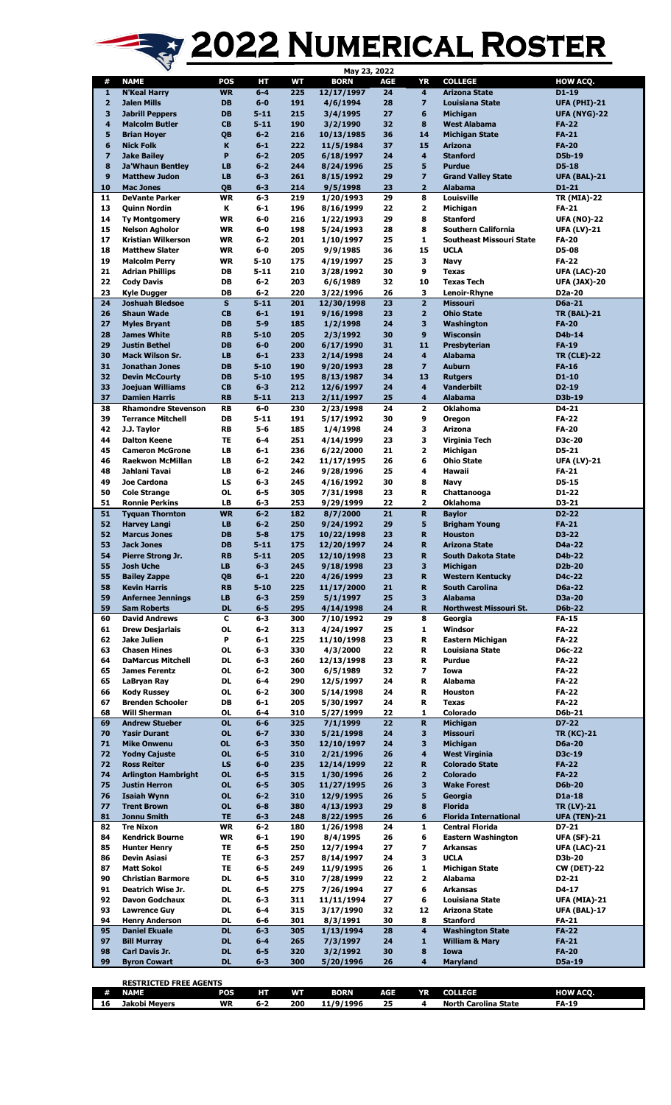## 2022 NUMERICAL ROSTER

|                         |                                                 |                        |                    |            | May 23, 2022           |            |                         |                                         |                              |
|-------------------------|-------------------------------------------------|------------------------|--------------------|------------|------------------------|------------|-------------------------|-----------------------------------------|------------------------------|
| #                       | <b>NAME</b>                                     | POS                    | HТ                 | WT         | <b>BORN</b>            | <b>AGE</b> | YR                      | <b>COLLEGE</b>                          | HOW ACQ.                     |
| 1                       | <b>N'Keal Harry</b>                             | <b>WR</b>              | $6-4$              | 225        | 12/17/1997             | 24         | $\overline{\mathbf{4}}$ | <b>Arizona State</b>                    | $D1 - 19$                    |
| $\overline{\mathbf{2}}$ | <b>Jalen Mills</b>                              | DB                     | $6-0$              | 191        | 4/6/1994               | 28         | $\overline{z}$          | <b>Louisiana State</b>                  | <b>UFA (PHI)-21</b>          |
| 3                       | <b>Jabrill Peppers</b>                          | <b>DB</b>              | $5 - 11$           | 215        | 3/4/1995               | 27         | 6                       | <b>Michigan</b>                         | <b>UFA (NYG)-22</b>          |
| 4                       | <b>Malcolm Butler</b>                           | <b>CB</b>              | $5 - 11$           | 190        | 3/2/1990               | 32         | 8                       | <b>West Alabama</b>                     | <b>FA-22</b>                 |
| 5<br>6                  | <b>Brian Hoyer</b>                              | QB                     | $6 - 2$<br>$6 - 1$ | 216<br>222 | 10/13/1985             | 36<br>37   | 14<br>15                | <b>Michigan State</b><br><b>Arizona</b> | <b>FA-21</b><br><b>FA-20</b> |
| $\overline{\mathbf{z}}$ | <b>Nick Folk</b>                                | K<br>P                 | $6 - 2$            | 205        | 11/5/1984              |            | $\overline{\mathbf{4}}$ | <b>Stanford</b>                         | D5b-19                       |
| 8                       | <b>Jake Bailey</b>                              | LB                     | $6 - 2$            | 244        | 6/18/1997              | 24<br>25   | 5                       | <b>Purdue</b>                           | D5-18                        |
| 9                       | <b>Ja'Whaun Bentley</b><br><b>Matthew Judon</b> | <b>LB</b>              | $6 - 3$            | 261        | 8/24/1996<br>8/15/1992 | 29         | $\overline{\mathbf{z}}$ | <b>Grand Valley State</b>               | <b>UFA (BAL)-21</b>          |
| 10                      | <b>Mac Jones</b>                                | QB                     | $6 - 3$            | 214        | 9/5/1998               | 23         | $\overline{2}$          | <b>Alabama</b>                          | D1-21                        |
| 11                      | <b>DeVante Parker</b>                           | <b>WR</b>              | $6-3$              | 219        | 1/20/1993              | 29         | 8                       | Louisville                              | <b>TR (MIA)-22</b>           |
| 13                      | <b>Quinn Nordin</b>                             | Κ                      | $6 - 1$            | 196        | 8/16/1999              | 22         | 2                       | Michigan                                | FA-21                        |
| 14                      | <b>Ty Montgomery</b>                            | <b>WR</b>              | $6-0$              | 216        | 1/22/1993              | 29         | 8                       | <b>Stanford</b>                         | <b>UFA (NO)-22</b>           |
| 15                      | <b>Nelson Agholor</b>                           | <b>WR</b>              | 6-0                | 198        | 5/24/1993              | 28         | 8                       | Southern California                     | <b>UFA (LV)-21</b>           |
| 17                      | Kristian Wilkerson                              | <b>WR</b>              | $6 - 2$            | 201        | 1/10/1997              | 25         | $\mathbf{1}$            | Southeast Missouri State                | <b>FA-20</b>                 |
| 18                      | <b>Matthew Slater</b>                           | WR                     | 6-0                | 205        | 9/9/1985               | 36         | 15                      | <b>UCLA</b>                             | D5-08                        |
| 19                      | <b>Malcolm Perry</b>                            | <b>WR</b>              | $5 - 10$           | 175        | 4/19/1997              | 25         | з                       | Navy                                    | <b>FA-22</b>                 |
| 21                      | <b>Adrian Phillips</b>                          | DB                     | $5 - 11$           | 210        | 3/28/1992              | 30         | 9                       | <b>Texas</b>                            | UFA (LAC)-20                 |
| 22                      | <b>Cody Davis</b>                               | DB                     | $6 - 2$            | 203        | 6/6/1989               | 32         | 10                      | <b>Texas Tech</b>                       | UFA (JAX)-20                 |
| 23                      | <b>Kyle Dugger</b>                              | DB                     | $6 - 2$            | 220        | 3/22/1996              | 26         | 3                       | Lenoir-Rhyne                            | D2a-20                       |
| 24                      | <b>Joshuah Bledsoe</b>                          | $\mathbf{s}$           | $5 - 11$           | 201        | 12/30/1998             | 23         | $\overline{2}$          | <b>Missouri</b>                         | D6a-21                       |
| 26                      | <b>Shaun Wade</b>                               | <b>CB</b>              | $6 - 1$            | 191        | 9/16/1998              | 23         | $\overline{2}$          | <b>Ohio State</b>                       | <b>TR (BAL)-21</b>           |
| 27                      | <b>Myles Bryant</b>                             | <b>DB</b>              | $5-9$              | 185        | 1/2/1998               | 24         | $\overline{\mathbf{3}}$ | Washington                              | <b>FA-20</b>                 |
| 28                      | <b>James White</b>                              | <b>RB</b>              | $5 - 10$           | 205        | 2/3/1992               | 30         | 9                       | <b>Wisconsin</b>                        | D4b-14                       |
| 29                      | <b>Justin Bethel</b>                            | <b>DB</b>              | $6-0$              | 200        | 6/17/1990              | 31         | 11                      | Presbyterian                            | <b>FA-19</b>                 |
| 30                      | <b>Mack Wilson Sr.</b>                          | LB                     | $6 - 1$            | 233        | 2/14/1998              | 24         | $\overline{\mathbf{4}}$ | <b>Alabama</b>                          | <b>TR (CLE)-22</b>           |
| 31                      | <b>Jonathan Jones</b>                           | DB                     | $5 - 10$           | 190        | 9/20/1993              | 28         | $\overline{z}$          | <b>Auburn</b>                           | <b>FA-16</b>                 |
| 32                      | <b>Devin McCourty</b>                           | <b>DB</b>              | $5 - 10$           | 195        | 8/13/1987              | 34         | 13                      | <b>Rutgers</b>                          | D1-10                        |
| 33                      | <b>Joejuan Williams</b>                         | <b>CB</b>              | $6 - 3$            | 212        | 12/6/1997              | 24         | $\overline{\mathbf{4}}$ | <b>Vanderbilt</b>                       | $D2 - 19$                    |
| 37                      | <b>Damien Harris</b>                            | <b>RB</b>              | $5 - 11$           | 213        | 2/11/1997              | 25         | 4                       | <b>Alabama</b>                          | D3b-19                       |
| 38                      | <b>Rhamondre Stevenson</b>                      | RB                     | $6-0$              | 230        | 2/23/1998              | 24         | $\overline{\mathbf{2}}$ | <b>Oklahoma</b>                         | D4-21                        |
| 39                      | <b>Terrance Mitchell</b>                        | DB                     | 5-11               | 191        | 5/17/1992              | 30         | 9                       | Oregon                                  | FA-22                        |
| 42                      | J.J. Taylor                                     | <b>RB</b>              | $5-6$              | 185        | 1/4/1998               | 24         | 3                       | <b>Arizona</b>                          | <b>FA-20</b>                 |
| 44                      | <b>Dalton Keene</b>                             | <b>TE</b>              | $6-4$              | 251        | 4/14/1999              | 23         | 3                       | Virginia Tech                           | D3c-20                       |
| 45                      | <b>Cameron McGrone</b>                          | LB                     | $6 - 1$            | 236        | 6/22/2000              | 21         | $\mathbf{2}$            | Michigan                                | D5-21                        |
| 46                      | <b>Raekwon McMillan</b>                         | LB                     | $6 - 2$            | 242        | 11/17/1995             | 26         | 6                       | <b>Ohio State</b>                       | <b>UFA (LV)-21</b>           |
| 48                      | Jahlani Tavai                                   | LB                     | $6 - 2$            | 246        | 9/28/1996              | 25         | 4                       | Hawaii                                  | FA-21                        |
| 49                      | Joe Cardona                                     | LS                     | $6 - 3$            | 245        | 4/16/1992              | 30         | 8                       | Navy                                    | D5-15                        |
| 50                      | <b>Cole Strange</b>                             | 0L                     | 6-5                | 305        | 7/31/1998              | 23         | R                       | Chattanooga                             | D1-22                        |
| 51                      | <b>Ronnie Perkins</b>                           | <b>LB</b>              | $6-3$              | 253        | 9/29/1999              | 22         | $\overline{2}$          | <b>Oklahoma</b>                         | D3-21                        |
| 51                      | <b>Tyquan Thornton</b>                          | <b>WR</b>              | $6 - 2$            | 182        | 8/7/2000               | 21         | R                       | <b>Baylor</b>                           | D2-22                        |
| 52                      | <b>Harvey Langi</b>                             | <b>LB</b>              | $6 - 2$            | 250        | 9/24/1992              | 29         | 5                       | <b>Brigham Young</b>                    | <b>FA-21</b>                 |
| 52                      | <b>Marcus Jones</b>                             | <b>DB</b>              | $5-8$              | 175        | 10/22/1998             | 23         | $\mathbf R$             | <b>Houston</b>                          | D3-22                        |
| 53                      | <b>Jack Jones</b>                               | DB                     | $5 - 11$           | 175        | 12/20/1997             | 24         | $\mathbf R$             | <b>Arizona State</b>                    | D4a-22                       |
| 54                      | Pierre Strong Jr.                               | <b>RB</b>              | $5 - 11$           | 205        | 12/10/1998             | 23         | R                       | <b>South Dakota State</b>               | D4b-22                       |
| 55                      | <b>Josh Uche</b>                                | <b>LB</b>              | $6 - 3$            | 245        | 9/18/1998              | 23         | 3                       | <b>Michigan</b>                         | D2b-20                       |
| 55                      | <b>Bailey Zappe</b>                             | QB                     | $6-1$              | 220        | 4/26/1999              | 23         | $\mathbf R$             | <b>Western Kentucky</b>                 | D4c-22                       |
| 58                      | <b>Kevin Harris</b>                             | <b>RB</b>              | $5 - 10$           | 225        | 11/17/2000             | 21         | $\mathbf R$             | <b>South Carolina</b>                   | D6a-22                       |
| 59                      | <b>Anfernee Jennings</b>                        | <b>LB</b>              | $6 - 3$            | 259        | 5/1/1997               | 25         | 3                       | <b>Alabama</b>                          | D3a-20                       |
| 59                      | <b>Sam Roberts</b>                              | <b>DL</b>              | $6-5$              | 295        | 4/14/1998              | 24         | R.                      | Northwest Missouri St.                  | <b>D6b-22</b>                |
| 60                      | <b>David Andrews</b>                            | C                      | $6-3$              | 300        | 7/10/1992              | 29         | 8                       | Georgia                                 | <b>FA-15</b>                 |
| 61                      | <b>Drew Desjarlais</b>                          | 0L                     | $6 - 2$            | 313        | 4/24/1997              | 25         | 1                       | Windsor                                 | <b>FA-22</b>                 |
| 62                      | <b>Jake Julien</b>                              | P                      | $6 - 1$            | 225        | 11/10/1998             | 23         | R                       | Eastern Michigan                        | <b>FA-22</b>                 |
| 63                      | <b>Chasen Hines</b>                             | 0L                     | $6 - 3$            | 330        | 4/3/2000               | 22         | R                       | Louisiana State                         | D6c-22<br><b>FA-22</b>       |
| 64                      | <b>DaMarcus Mitchell</b>                        | <b>DL</b><br><b>OL</b> | $6-3$<br>$6 - 2$   | 260        | 12/13/1998             | 23         | R<br>7                  | Purdue                                  |                              |
| 65<br>65                | <b>James Ferentz</b>                            | DL                     | 6-4                | 300<br>290 | 6/5/1989               | 32<br>24   | R                       | Iowa<br><b>Alabama</b>                  | <b>FA-22</b><br><b>FA-22</b> |
| 66                      | LaBryan Ray                                     | 0L                     | $6 - 2$            | 300        | 12/5/1997              | 24         | R                       |                                         | <b>FA-22</b>                 |
| 67                      | <b>Kody Russey</b><br><b>Brenden Schooler</b>   | DB                     | $6 - 1$            | 205        | 5/14/1998              | 24         | R                       | <b>Houston</b><br><b>Texas</b>          | <b>FA-22</b>                 |
| 68                      | <b>Will Sherman</b>                             | 0L                     | 6-4                | 310        | 5/30/1997<br>5/27/1999 | 22         | 1                       | Colorado                                | D6b-21                       |
| 69                      | <b>Andrew Stueber</b>                           | <b>OL</b>              | $6-6$              | 325        | 7/1/1999               | 22         | R                       | <b>Michigan</b>                         | D7-22                        |
| 70                      | <b>Yasir Durant</b>                             | <b>OL</b>              | $6 - 7$            | 330        | 5/21/1998              | 24         | 3                       | <b>Missouri</b>                         | <b>TR (KC)-21</b>            |
| 71                      | <b>Mike Onwenu</b>                              | <b>OL</b>              | $6 - 3$            | 350        | 12/10/1997             | 24         | 3                       | <b>Michigan</b>                         | <b>D6a-20</b>                |
| 72                      | <b>Yodny Cajuste</b>                            | <b>OL</b>              | $6-5$              | 310        | 2/21/1996              | 26         | 4                       | <b>West Virginia</b>                    | D3c-19                       |
| 72                      | <b>Ross Reiter</b>                              | LS                     | $6-0$              | 235        | 12/14/1999             | 22         | $\mathbf R$             | <b>Colorado State</b>                   | <b>FA-22</b>                 |
| 74                      | <b>Arlington Hambright</b>                      | <b>OL</b>              | $6-5$              | 315        | 1/30/1996              | 26         | $\overline{\mathbf{2}}$ | <b>Colorado</b>                         | <b>FA-22</b>                 |
| 75                      | <b>Justin Herron</b>                            | <b>OL</b>              | $6-5$              | 305        | 11/27/1995             | 26         | 3                       | <b>Wake Forest</b>                      | <b>D6b-20</b>                |
| 76                      | <b>Isaiah Wynn</b>                              | <b>OL</b>              | $6 - 2$            | 310        | 12/9/1995              | 26         | 5                       | Georgia                                 | D1a-18                       |
| 77                      | <b>Trent Brown</b>                              | <b>OL</b>              | $6-8$              | 380        | 4/13/1993              | 29         | 8                       | <b>Florida</b>                          | <b>TR (LV)-21</b>            |
| 81                      | Jonnu Smith                                     | <b>TE</b>              | $6 - 3$            | 248        | 8/22/1995              | 26         | $6\phantom{1}$          | <b>Florida International</b>            | <b>UFA (TEN)-21</b>          |
| 82                      | <b>Tre Nixon</b>                                | <b>WR</b>              | $6 - 2$            | 180        | 1/26/1998              | 24         | 1                       | <b>Central Florida</b>                  | D7-21                        |
| 84                      | <b>Kendrick Bourne</b>                          | <b>WR</b>              | $6 - 1$            | 190        | 8/4/1995               | 26         | 6                       | <b>Eastern Washington</b>               | <b>UFA (SF)-21</b>           |
| 85                      | <b>Hunter Henry</b>                             | TE                     | 6-5                | 250        | 12/7/1994              | 27         | 7                       | <b>Arkansas</b>                         | <b>UFA (LAC)-21</b>          |
| 86                      | <b>Devin Asiasi</b>                             | TE                     | 6-3                | 257        | 8/14/1997              | 24         | 3                       | <b>UCLA</b>                             | D3b-20                       |
| 87                      | <b>Matt Sokol</b>                               | TE                     | 6-5                | 249        | 11/9/1995              | 26         | $\mathbf{1}$            | Michigan State                          | CW (DET)-22                  |
| 90                      | <b>Christian Barmore</b>                        | DL                     | 6-5                | 310        | 7/28/1999              | 22         | $\mathbf{2}$            | Alabama                                 | D2-21                        |
| 91                      | Deatrich Wise Jr.                               | DL                     | $6-5$              | 275        | 7/26/1994              | 27         | 6                       | Arkansas                                | D4-17                        |
| 92                      | Davon Godchaux                                  | DL                     | 6-3                | 311        | 11/11/1994             | 27         | 6                       | Louisiana State                         | UFA (MIA)-21                 |
| 93                      | <b>Lawrence Guy</b>                             | DL                     | 6-4                | 315        | 3/17/1990              | 32         | 12                      | <b>Arizona State</b>                    | <b>UFA (BAL)-17</b>          |
| 94                      | <b>Henry Anderson</b>                           | DL                     | 6-6                | 301        | 8/3/1991               | 30         | 8                       | <b>Stanford</b>                         | FA-21                        |
| 95                      | <b>Daniel Ekuale</b>                            | <b>DL</b>              | $6 - 3$            | 305        | 1/13/1994              | 28         | $\overline{\mathbf{4}}$ | <b>Washington State</b>                 | <b>FA-22</b>                 |
| 97                      | <b>Bill Murray</b>                              | <b>DL</b>              | $6-4$              | 265        | 7/3/1997               | 24         | $\mathbf{1}$            | <b>William &amp; Mary</b>               | <b>FA-21</b>                 |
| 98                      | <b>Carl Davis Jr.</b>                           | <b>DL</b>              | $6-5$              | 320        | 3/2/1992               | 30         | 8                       | Iowa                                    | <b>FA-20</b>                 |
| 99                      | <b>Byron Cowart</b>                             | <b>DL</b>              | $6 - 3$            | 300        | 5/20/1996              | 26         | $\overline{\mathbf{4}}$ | <b>Maryland</b>                         | D5a-19                       |
|                         |                                                 |                        |                    |            |                        |            |                         |                                         |                              |
|                         | <b>RESTRICTED FREE AGENTS</b>                   |                        |                    |            |                        |            |                         |                                         |                              |

**RESERVING**<br> **RESERVING**<br> **RESERVING**<br> **RESERVING**<br> **RESERVING**<br> **RESERVING**<br> **RESERVING # NAME POS HT WT BORN AGE YR COLLEGE HOW ACQ. Jakobi Meyers WR 6-2 200 11/9/1996 25 4 North Carolina State FA-19**